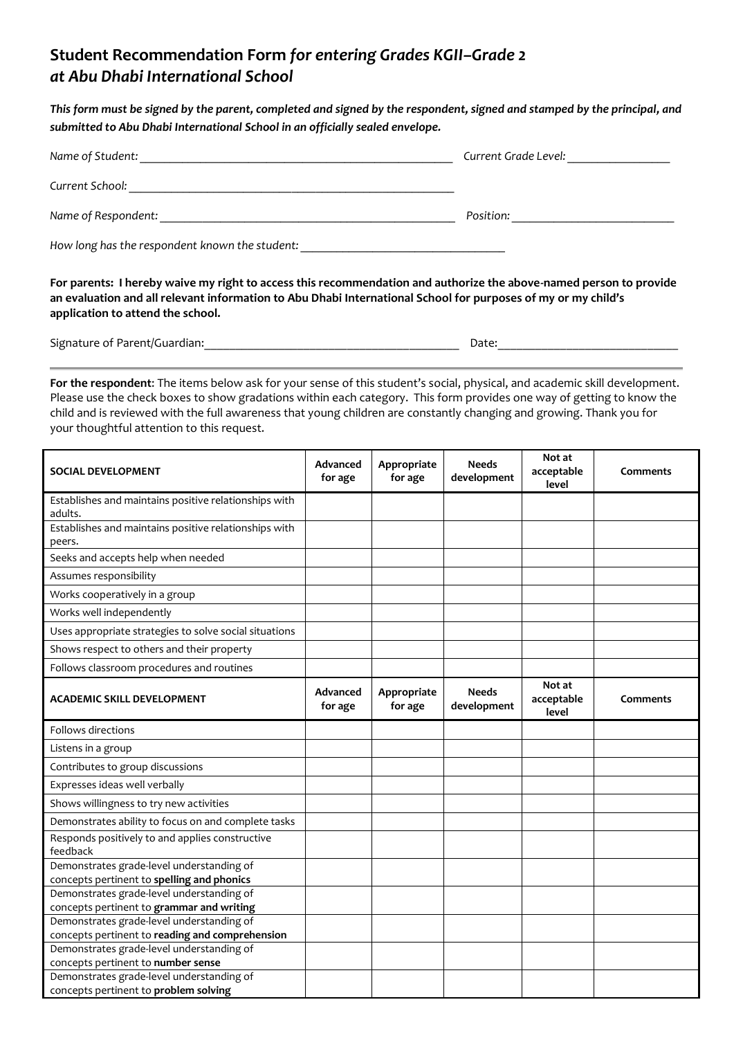## **Student Recommendation Form** *for entering Grades KGII–Grade 2 at Abu Dhabi International School*

*This form must be signed by the parent, completed and signed by the respondent, signed and stamped by the principal, and submitted to Abu Dhabi International School in an officially sealed envelope.* 

| Name of Student:                               | Current Grade Level: |
|------------------------------------------------|----------------------|
| Current School:                                |                      |
| Name of Respondent:                            | Position:            |
| How long has the respondent known the student: |                      |

**For parents: I hereby waive my right to access this recommendation and authorize the above-named person to provide an evaluation and all relevant information to Abu Dhabi International School for purposes of my or my child's application to attend the school.** 

Signature of Parent/Guardian: example of Parent/Guardian:

**For the respondent**: The items below ask for your sense of this student's social, physical, and academic skill development. Please use the check boxes to show gradations within each category. This form provides one way of getting to know the child and is reviewed with the full awareness that young children are constantly changing and growing. Thank you for your thoughtful attention to this request.

| <b>SOCIAL DEVELOPMENT</b>                                        | Advanced<br>for age | Appropriate<br>for age | <b>Needs</b><br>development | Not at<br>acceptable<br>level | Comments |
|------------------------------------------------------------------|---------------------|------------------------|-----------------------------|-------------------------------|----------|
| Establishes and maintains positive relationships with<br>adults. |                     |                        |                             |                               |          |
| Establishes and maintains positive relationships with            |                     |                        |                             |                               |          |
| peers.                                                           |                     |                        |                             |                               |          |
| Seeks and accepts help when needed                               |                     |                        |                             |                               |          |
| Assumes responsibility                                           |                     |                        |                             |                               |          |
| Works cooperatively in a group                                   |                     |                        |                             |                               |          |
| Works well independently                                         |                     |                        |                             |                               |          |
| Uses appropriate strategies to solve social situations           |                     |                        |                             |                               |          |
| Shows respect to others and their property                       |                     |                        |                             |                               |          |
| Follows classroom procedures and routines                        |                     |                        |                             |                               |          |
| <b>ACADEMIC SKILL DEVELOPMENT</b>                                | Advanced<br>for age | Appropriate<br>for age | <b>Needs</b><br>development | Not at<br>acceptable<br>level | Comments |
| Follows directions                                               |                     |                        |                             |                               |          |
| Listens in a group                                               |                     |                        |                             |                               |          |
| Contributes to group discussions                                 |                     |                        |                             |                               |          |
| Expresses ideas well verbally                                    |                     |                        |                             |                               |          |
| Shows willingness to try new activities                          |                     |                        |                             |                               |          |
| Demonstrates ability to focus on and complete tasks              |                     |                        |                             |                               |          |
| Responds positively to and applies constructive                  |                     |                        |                             |                               |          |
| feedback<br>Demonstrates grade-level understanding of            |                     |                        |                             |                               |          |
| concepts pertinent to spelling and phonics                       |                     |                        |                             |                               |          |
| Demonstrates grade-level understanding of                        |                     |                        |                             |                               |          |
| concepts pertinent to grammar and writing                        |                     |                        |                             |                               |          |
| Demonstrates grade-level understanding of                        |                     |                        |                             |                               |          |
| concepts pertinent to reading and comprehension                  |                     |                        |                             |                               |          |
| Demonstrates grade-level understanding of                        |                     |                        |                             |                               |          |
| concepts pertinent to number sense                               |                     |                        |                             |                               |          |
| Demonstrates grade-level understanding of                        |                     |                        |                             |                               |          |
| concepts pertinent to problem solving                            |                     |                        |                             |                               |          |